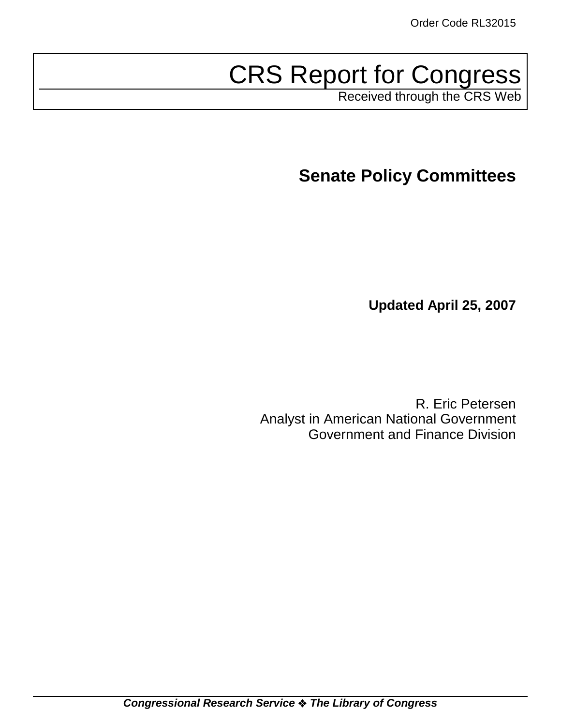# CRS Report for Congress

Received through the CRS Web

**Senate Policy Committees**

**Updated April 25, 2007**

R. Eric Petersen Analyst in American National Government Government and Finance Division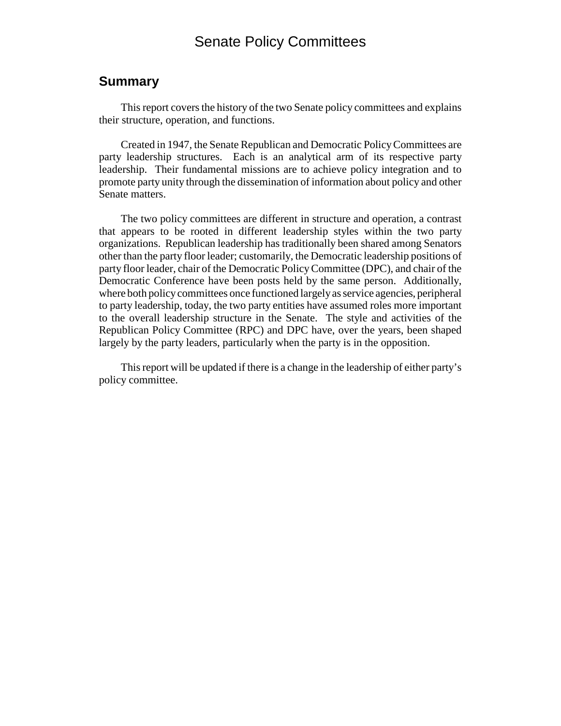## Senate Policy Committees

#### **Summary**

This report covers the history of the two Senate policy committees and explains their structure, operation, and functions.

Created in 1947, the Senate Republican and Democratic Policy Committees are party leadership structures. Each is an analytical arm of its respective party leadership. Their fundamental missions are to achieve policy integration and to promote party unity through the dissemination of information about policy and other Senate matters.

The two policy committees are different in structure and operation, a contrast that appears to be rooted in different leadership styles within the two party organizations. Republican leadership has traditionally been shared among Senators other than the party floor leader; customarily, the Democratic leadership positions of party floor leader, chair of the Democratic Policy Committee (DPC), and chair of the Democratic Conference have been posts held by the same person. Additionally, where both policy committees once functioned largely as service agencies, peripheral to party leadership, today, the two party entities have assumed roles more important to the overall leadership structure in the Senate. The style and activities of the Republican Policy Committee (RPC) and DPC have, over the years, been shaped largely by the party leaders, particularly when the party is in the opposition.

This report will be updated if there is a change in the leadership of either party's policy committee.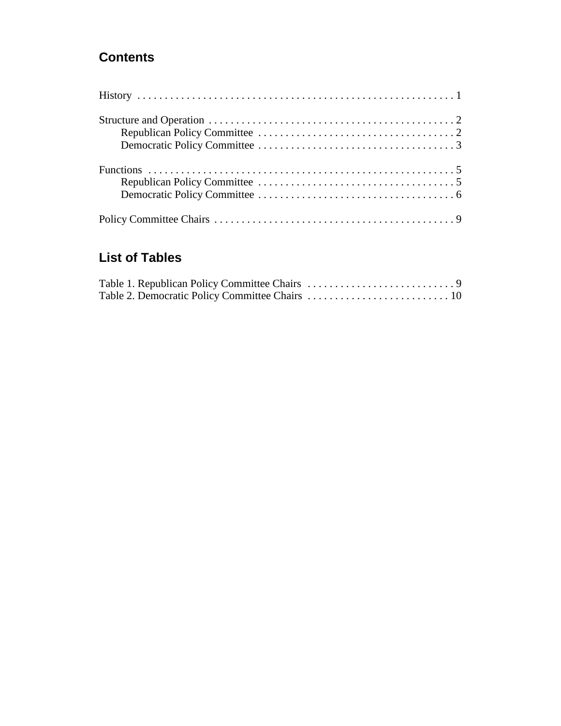## **Contents**

## **List of Tables**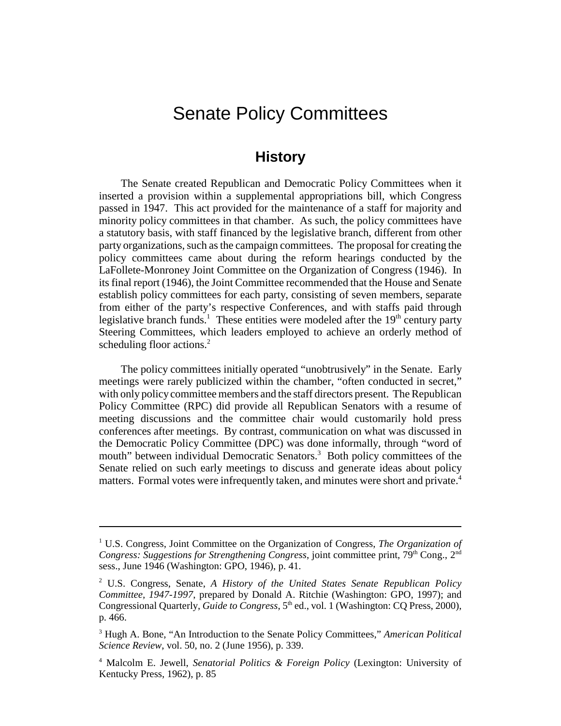# Senate Policy Committees

## **History**

The Senate created Republican and Democratic Policy Committees when it inserted a provision within a supplemental appropriations bill, which Congress passed in 1947. This act provided for the maintenance of a staff for majority and minority policy committees in that chamber. As such, the policy committees have a statutory basis, with staff financed by the legislative branch, different from other party organizations, such as the campaign committees. The proposal for creating the policy committees came about during the reform hearings conducted by the LaFollete-Monroney Joint Committee on the Organization of Congress (1946). In its final report (1946), the Joint Committee recommended that the House and Senate establish policy committees for each party, consisting of seven members, separate from either of the party's respective Conferences, and with staffs paid through legislative branch funds.<sup>1</sup> These entities were modeled after the 19<sup>th</sup> century party Steering Committees, which leaders employed to achieve an orderly method of scheduling floor actions.<sup>2</sup>

The policy committees initially operated "unobtrusively" in the Senate. Early meetings were rarely publicized within the chamber, "often conducted in secret," with only policy committee members and the staff directors present. The Republican Policy Committee (RPC) did provide all Republican Senators with a resume of meeting discussions and the committee chair would customarily hold press conferences after meetings. By contrast, communication on what was discussed in the Democratic Policy Committee (DPC) was done informally, through "word of mouth" between individual Democratic Senators.<sup>3</sup> Both policy committees of the Senate relied on such early meetings to discuss and generate ideas about policy matters. Formal votes were infrequently taken, and minutes were short and private.<sup>4</sup>

<sup>&</sup>lt;sup>1</sup> U.S. Congress, Joint Committee on the Organization of Congress, *The Organization of Congress: Suggestions for Strengthening Congress, joint committee print, 79<sup>th</sup> Cong., 2<sup>nd</sup>* sess., June 1946 (Washington: GPO, 1946), p. 41.

<sup>2</sup> U.S. Congress, Senate, *A History of the United States Senate Republican Policy Committee, 1947-1997*, prepared by Donald A. Ritchie (Washington: GPO, 1997); and Congressional Quarterly, *Guide to Congress*, 5<sup>th</sup> ed., vol. 1 (Washington: CQ Press, 2000), p. 466.

<sup>3</sup> Hugh A. Bone, "An Introduction to the Senate Policy Committees," *American Political Science Review*, vol. 50, no. 2 (June 1956), p. 339.

<sup>4</sup> Malcolm E. Jewell, *Senatorial Politics & Foreign Policy* (Lexington: University of Kentucky Press, 1962), p. 85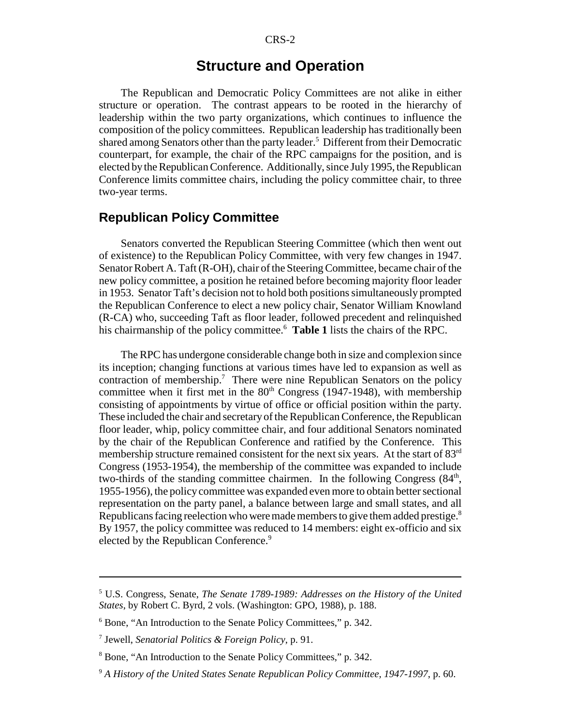## **Structure and Operation**

The Republican and Democratic Policy Committees are not alike in either structure or operation. The contrast appears to be rooted in the hierarchy of leadership within the two party organizations, which continues to influence the composition of the policy committees. Republican leadership has traditionally been shared among Senators other than the party leader.<sup>5</sup> Different from their Democratic counterpart, for example, the chair of the RPC campaigns for the position, and is elected by the Republican Conference. Additionally, since July 1995, the Republican Conference limits committee chairs, including the policy committee chair, to three two-year terms.

#### **Republican Policy Committee**

Senators converted the Republican Steering Committee (which then went out of existence) to the Republican Policy Committee, with very few changes in 1947. Senator Robert A. Taft (R-OH), chair of the Steering Committee, became chair of the new policy committee, a position he retained before becoming majority floor leader in 1953. Senator Taft's decision not to hold both positions simultaneously prompted the Republican Conference to elect a new policy chair, Senator William Knowland (R-CA) who, succeeding Taft as floor leader, followed precedent and relinquished his chairmanship of the policy committee.6 **Table 1** lists the chairs of the RPC.

The RPC has undergone considerable change both in size and complexion since its inception; changing functions at various times have led to expansion as well as contraction of membership.<sup>7</sup> There were nine Republican Senators on the policy committee when it first met in the  $80<sup>th</sup>$  Congress (1947-1948), with membership consisting of appointments by virtue of office or official position within the party. These included the chair and secretary of the Republican Conference, the Republican floor leader, whip, policy committee chair, and four additional Senators nominated by the chair of the Republican Conference and ratified by the Conference. This membership structure remained consistent for the next six years. At the start of 83<sup>rd</sup> Congress (1953-1954), the membership of the committee was expanded to include two-thirds of the standing committee chairmen. In the following Congress (84<sup>th</sup>, 1955-1956), the policy committee was expanded even more to obtain better sectional representation on the party panel, a balance between large and small states, and all Republicans facing reelection who were made members to give them added prestige.<sup>8</sup> By 1957, the policy committee was reduced to 14 members: eight ex-officio and six elected by the Republican Conference.<sup>9</sup>

<sup>5</sup> U.S. Congress, Senate, *The Senate 1789-1989: Addresses on the History of the United States*, by Robert C. Byrd, 2 vols. (Washington: GPO, 1988), p. 188.

<sup>6</sup> Bone, "An Introduction to the Senate Policy Committees," p. 342.

<sup>7</sup> Jewell, *Senatorial Politics & Foreign Policy*, p. 91.

<sup>8</sup> Bone, "An Introduction to the Senate Policy Committees," p. 342.

<sup>9</sup> *A History of the United States Senate Republican Policy Committee, 1947-1997*, p. 60.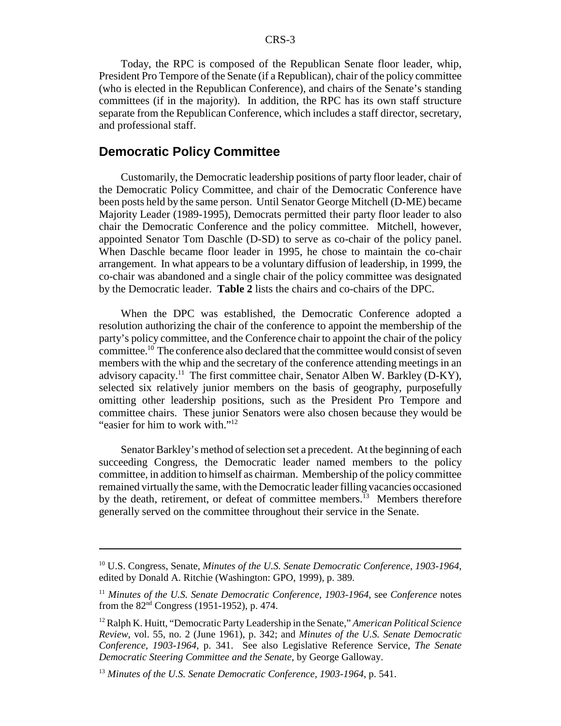Today, the RPC is composed of the Republican Senate floor leader, whip, President Pro Tempore of the Senate (if a Republican), chair of the policy committee (who is elected in the Republican Conference), and chairs of the Senate's standing committees (if in the majority). In addition, the RPC has its own staff structure separate from the Republican Conference, which includes a staff director, secretary, and professional staff.

#### **Democratic Policy Committee**

Customarily, the Democratic leadership positions of party floor leader, chair of the Democratic Policy Committee, and chair of the Democratic Conference have been posts held by the same person. Until Senator George Mitchell (D-ME) became Majority Leader (1989-1995), Democrats permitted their party floor leader to also chair the Democratic Conference and the policy committee. Mitchell, however, appointed Senator Tom Daschle (D-SD) to serve as co-chair of the policy panel. When Daschle became floor leader in 1995, he chose to maintain the co-chair arrangement. In what appears to be a voluntary diffusion of leadership, in 1999, the co-chair was abandoned and a single chair of the policy committee was designated by the Democratic leader. **Table 2** lists the chairs and co-chairs of the DPC.

When the DPC was established, the Democratic Conference adopted a resolution authorizing the chair of the conference to appoint the membership of the party's policy committee, and the Conference chair to appoint the chair of the policy committee.10 The conference also declared that the committee would consist of seven members with the whip and the secretary of the conference attending meetings in an advisory capacity.<sup>11</sup> The first committee chair, Senator Alben W. Barkley (D-KY), selected six relatively junior members on the basis of geography, purposefully omitting other leadership positions, such as the President Pro Tempore and committee chairs. These junior Senators were also chosen because they would be "easier for him to work with."12

Senator Barkley's method of selection set a precedent. At the beginning of each succeeding Congress, the Democratic leader named members to the policy committee, in addition to himself as chairman. Membership of the policy committee remained virtually the same, with the Democratic leader filling vacancies occasioned by the death, retirement, or defeat of committee members.<sup>13</sup> Members therefore generally served on the committee throughout their service in the Senate.

<sup>10</sup> U.S. Congress, Senate, *Minutes of the U.S. Senate Democratic Conference, 1903-1964*, edited by Donald A. Ritchie (Washington: GPO, 1999), p. 389.

<sup>11</sup> *Minutes of the U.S. Senate Democratic Conference, 1903-1964*, see *Conference* notes from the 82nd Congress (1951-1952), p. 474.

<sup>12</sup> Ralph K. Huitt, "Democratic Party Leadership in the Senate," *American Political Science Review*, vol. 55, no. 2 (June 1961), p. 342; and *Minutes of the U.S. Senate Democratic Conference, 1903-1964*, p. 341. See also Legislative Reference Service, *The Senate Democratic Steering Committee and the Senate*, by George Galloway.

<sup>13</sup> *Minutes of the U.S. Senate Democratic Conference, 1903-1964*, p. 541.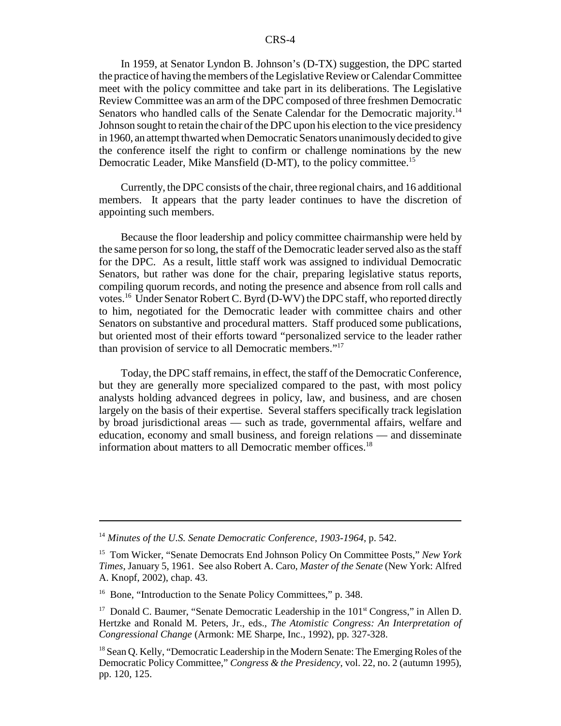#### CRS-4

In 1959, at Senator Lyndon B. Johnson's (D-TX) suggestion, the DPC started the practice of having the members of the Legislative Review or Calendar Committee meet with the policy committee and take part in its deliberations. The Legislative Review Committee was an arm of the DPC composed of three freshmen Democratic Senators who handled calls of the Senate Calendar for the Democratic majority.<sup>14</sup> Johnson sought to retain the chair of the DPC upon his election to the vice presidency in 1960, an attempt thwarted when Democratic Senators unanimously decided to give the conference itself the right to confirm or challenge nominations by the new Democratic Leader, Mike Mansfield (D-MT), to the policy committee.<sup>15</sup>

Currently, the DPC consists of the chair, three regional chairs, and 16 additional members. It appears that the party leader continues to have the discretion of appointing such members.

Because the floor leadership and policy committee chairmanship were held by the same person for so long, the staff of the Democratic leader served also as the staff for the DPC. As a result, little staff work was assigned to individual Democratic Senators, but rather was done for the chair, preparing legislative status reports, compiling quorum records, and noting the presence and absence from roll calls and votes.16 Under Senator Robert C. Byrd (D-WV) the DPC staff, who reported directly to him, negotiated for the Democratic leader with committee chairs and other Senators on substantive and procedural matters. Staff produced some publications, but oriented most of their efforts toward "personalized service to the leader rather than provision of service to all Democratic members."17

Today, the DPC staff remains, in effect, the staff of the Democratic Conference, but they are generally more specialized compared to the past, with most policy analysts holding advanced degrees in policy, law, and business, and are chosen largely on the basis of their expertise. Several staffers specifically track legislation by broad jurisdictional areas — such as trade, governmental affairs, welfare and education, economy and small business, and foreign relations — and disseminate information about matters to all Democratic member offices.<sup>18</sup>

<sup>14</sup> *Minutes of the U.S. Senate Democratic Conference, 1903-1964*, p. 542.

<sup>15</sup> Tom Wicker, "Senate Democrats End Johnson Policy On Committee Posts," *New York Times*, January 5, 1961. See also Robert A. Caro, *Master of the Senate* (New York: Alfred A. Knopf, 2002), chap. 43.

<sup>&</sup>lt;sup>16</sup> Bone, "Introduction to the Senate Policy Committees," p. 348.

<sup>&</sup>lt;sup>17</sup> Donald C. Baumer, "Senate Democratic Leadership in the  $101<sup>st</sup>$  Congress," in Allen D. Hertzke and Ronald M. Peters, Jr., eds., *The Atomistic Congress: An Interpretation of Congressional Change* (Armonk: ME Sharpe, Inc., 1992), pp. 327-328.

<sup>&</sup>lt;sup>18</sup> Sean Q. Kelly, "Democratic Leadership in the Modern Senate: The Emerging Roles of the Democratic Policy Committee," *Congress & the Presidency*, vol. 22, no. 2 (autumn 1995), pp. 120, 125.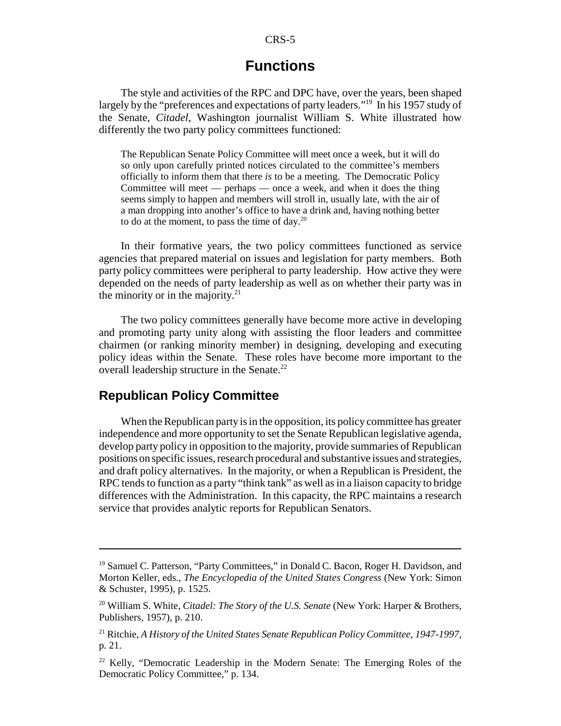#### CRS-5

## **Functions**

The style and activities of the RPC and DPC have, over the years, been shaped largely by the "preferences and expectations of party leaders."<sup>19</sup> In his 1957 study of the Senate, *Citadel*, Washington journalist William S. White illustrated how differently the two party policy committees functioned:

The Republican Senate Policy Committee will meet once a week, but it will do so only upon carefully printed notices circulated to the committee's members officially to inform them that there *is* to be a meeting. The Democratic Policy Committee will meet — perhaps — once a week, and when it does the thing seems simply to happen and members will stroll in, usually late, with the air of a man dropping into another's office to have a drink and, having nothing better to do at the moment, to pass the time of day.20

In their formative years, the two policy committees functioned as service agencies that prepared material on issues and legislation for party members. Both party policy committees were peripheral to party leadership. How active they were depended on the needs of party leadership as well as on whether their party was in the minority or in the majority. $2<sup>1</sup>$ 

The two policy committees generally have become more active in developing and promoting party unity along with assisting the floor leaders and committee chairmen (or ranking minority member) in designing, developing and executing policy ideas within the Senate. These roles have become more important to the overall leadership structure in the Senate.<sup>22</sup>

#### **Republican Policy Committee**

When the Republican party is in the opposition, its policy committee has greater independence and more opportunity to set the Senate Republican legislative agenda, develop party policy in opposition to the majority, provide summaries of Republican positions on specific issues, research procedural and substantive issues and strategies, and draft policy alternatives. In the majority, or when a Republican is President, the RPC tends to function as a party "think tank" as well as in a liaison capacity to bridge differences with the Administration. In this capacity, the RPC maintains a research service that provides analytic reports for Republican Senators.

<sup>&</sup>lt;sup>19</sup> Samuel C. Patterson, "Party Committees," in Donald C. Bacon, Roger H. Davidson, and Morton Keller, eds., *The Encyclopedia of the United States Congress* (New York: Simon & Schuster, 1995), p. 1525.

<sup>20</sup> William S. White, *Citadel: The Story of the U.S. Senate* (New York: Harper & Brothers, Publishers, 1957), p. 210.

<sup>21</sup> Ritchie, *A History of the United States Senate Republican Policy Committee, 1947-1997*, p. 21.

 $22$  Kelly, "Democratic Leadership in the Modern Senate: The Emerging Roles of the Democratic Policy Committee," p. 134.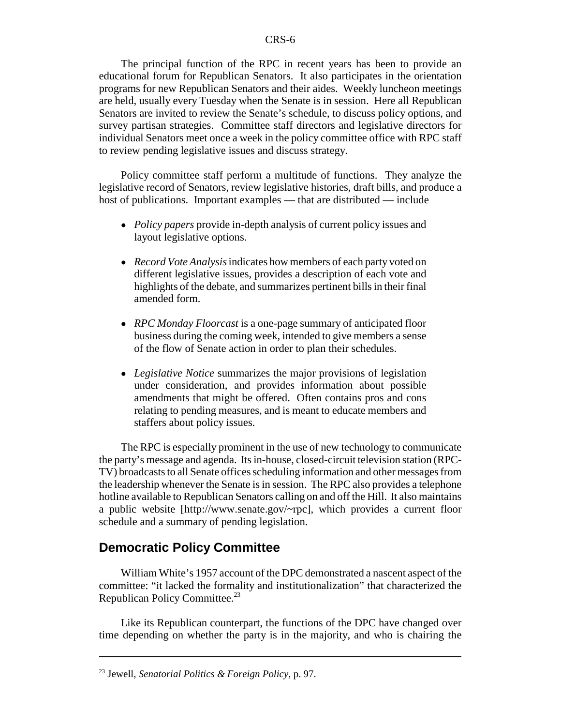The principal function of the RPC in recent years has been to provide an educational forum for Republican Senators. It also participates in the orientation programs for new Republican Senators and their aides. Weekly luncheon meetings are held, usually every Tuesday when the Senate is in session. Here all Republican Senators are invited to review the Senate's schedule, to discuss policy options, and survey partisan strategies. Committee staff directors and legislative directors for individual Senators meet once a week in the policy committee office with RPC staff to review pending legislative issues and discuss strategy.

Policy committee staff perform a multitude of functions. They analyze the legislative record of Senators, review legislative histories, draft bills, and produce a host of publications. Important examples — that are distributed — include

- ! *Policy papers* provide in-depth analysis of current policy issues and layout legislative options.
- ! *Record Vote Analysis* indicates how members of each party voted on different legislative issues, provides a description of each vote and highlights of the debate, and summarizes pertinent bills in their final amended form.
- ! *RPC Monday Floorcast* is a one-page summary of anticipated floor business during the coming week, intended to give members a sense of the flow of Senate action in order to plan their schedules.
- ! *Legislative Notice* summarizes the major provisions of legislation under consideration, and provides information about possible amendments that might be offered. Often contains pros and cons relating to pending measures, and is meant to educate members and staffers about policy issues.

The RPC is especially prominent in the use of new technology to communicate the party's message and agenda. Its in-house, closed-circuit television station (RPC-TV) broadcasts to all Senate offices scheduling information and other messages from the leadership whenever the Senate is in session. The RPC also provides a telephone hotline available to Republican Senators calling on and off the Hill. It also maintains a public website [http://www.senate.gov/~rpc], which provides a current floor schedule and a summary of pending legislation.

#### **Democratic Policy Committee**

William White's 1957 account of the DPC demonstrated a nascent aspect of the committee: "it lacked the formality and institutionalization" that characterized the Republican Policy Committee.<sup>23</sup>

Like its Republican counterpart, the functions of the DPC have changed over time depending on whether the party is in the majority, and who is chairing the

<sup>23</sup> Jewell, *Senatorial Politics & Foreign Policy*, p. 97.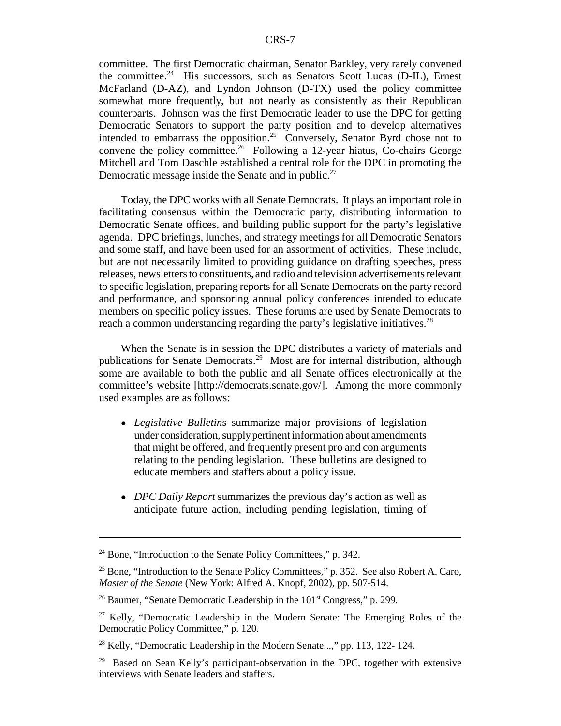committee. The first Democratic chairman, Senator Barkley, very rarely convened the committee.<sup>24</sup> His successors, such as Senators Scott Lucas (D-IL), Ernest McFarland (D-AZ), and Lyndon Johnson (D-TX) used the policy committee somewhat more frequently, but not nearly as consistently as their Republican counterparts. Johnson was the first Democratic leader to use the DPC for getting Democratic Senators to support the party position and to develop alternatives intended to embarrass the opposition.<sup>25</sup> Conversely, Senator Byrd chose not to convene the policy committee.<sup>26</sup> Following a 12-year hiatus, Co-chairs George Mitchell and Tom Daschle established a central role for the DPC in promoting the Democratic message inside the Senate and in public.<sup>27</sup>

Today, the DPC works with all Senate Democrats. It plays an important role in facilitating consensus within the Democratic party, distributing information to Democratic Senate offices, and building public support for the party's legislative agenda. DPC briefings, lunches, and strategy meetings for all Democratic Senators and some staff, and have been used for an assortment of activities. These include, but are not necessarily limited to providing guidance on drafting speeches, press releases, newsletters to constituents, and radio and television advertisements relevant to specific legislation, preparing reports for all Senate Democrats on the party record and performance, and sponsoring annual policy conferences intended to educate members on specific policy issues. These forums are used by Senate Democrats to reach a common understanding regarding the party's legislative initiatives.<sup>28</sup>

When the Senate is in session the DPC distributes a variety of materials and publications for Senate Democrats.29 Most are for internal distribution, although some are available to both the public and all Senate offices electronically at the committee's website [http://democrats.senate.gov/]. Among the more commonly used examples are as follows:

- ! *Legislative Bulletin*s summarize major provisions of legislation under consideration, supply pertinent information about amendments that might be offered, and frequently present pro and con arguments relating to the pending legislation. These bulletins are designed to educate members and staffers about a policy issue.
- ! *DPC Daily Report* summarizes the previous day's action as well as anticipate future action, including pending legislation, timing of

 $24$  Bone, "Introduction to the Senate Policy Committees," p. 342.

<sup>&</sup>lt;sup>25</sup> Bone, "Introduction to the Senate Policy Committees," p. 352. See also Robert A. Caro, *Master of the Senate* (New York: Alfred A. Knopf, 2002), pp. 507-514.

<sup>&</sup>lt;sup>26</sup> Baumer, "Senate Democratic Leadership in the  $101<sup>st</sup> Congress,$ " p. 299.

 $27$  Kelly, "Democratic Leadership in the Modern Senate: The Emerging Roles of the Democratic Policy Committee," p. 120.

<sup>&</sup>lt;sup>28</sup> Kelly, "Democratic Leadership in the Modern Senate...," pp. 113, 122-124.

<sup>&</sup>lt;sup>29</sup> Based on Sean Kelly's participant-observation in the DPC, together with extensive interviews with Senate leaders and staffers.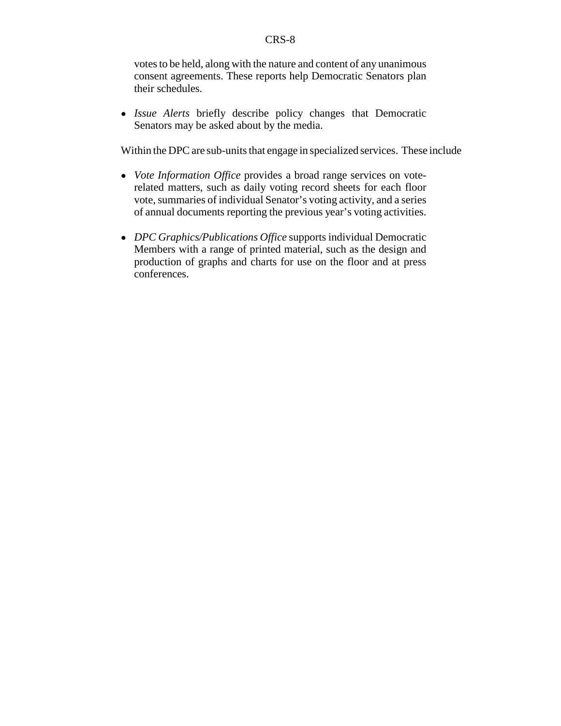votes to be held, along with the nature and content of any unanimous consent agreements. These reports help Democratic Senators plan their schedules.

! *Issue Alerts* briefly describe policy changes that Democratic Senators may be asked about by the media.

Within the DPC are sub-units that engage in specialized services. These include

- ! *Vote Information Office* provides a broad range services on voterelated matters, such as daily voting record sheets for each floor vote, summaries of individual Senator's voting activity, and a series of annual documents reporting the previous year's voting activities.
- ! *DPC Graphics/Publications Office* supports individual Democratic Members with a range of printed material, such as the design and production of graphs and charts for use on the floor and at press conferences.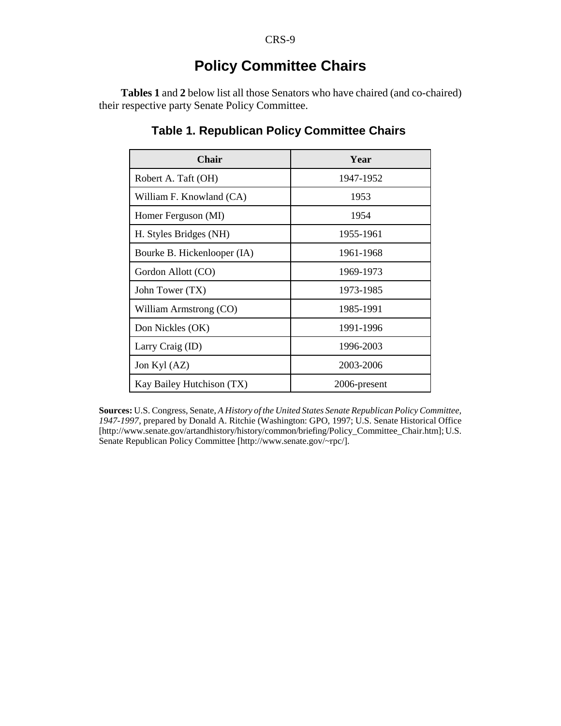# **Policy Committee Chairs**

**Tables 1** and **2** below list all those Senators who have chaired (and co-chaired) their respective party Senate Policy Committee.

| <b>Chair</b>                | Year         |
|-----------------------------|--------------|
| Robert A. Taft (OH)         | 1947-1952    |
| William F. Knowland (CA)    | 1953         |
| Homer Ferguson (MI)         | 1954         |
| H. Styles Bridges (NH)      | 1955-1961    |
| Bourke B. Hickenlooper (IA) | 1961-1968    |
| Gordon Allott (CO)          | 1969-1973    |
| John Tower (TX)             | 1973-1985    |
| William Armstrong (CO)      | 1985-1991    |
| Don Nickles (OK)            | 1991-1996    |
| Larry Craig (ID)            | 1996-2003    |
| Jon Kyl (AZ)                | 2003-2006    |
| Kay Bailey Hutchison (TX)   | 2006-present |

## **Table 1. Republican Policy Committee Chairs**

**Sources:** U.S. Congress, Senate, *A History of the United States Senate Republican Policy Committee, 1947-1997*, prepared by Donald A. Ritchie (Washington: GPO, 1997; U.S. Senate Historical Office [http://www.senate.gov/artandhistory/history/common/briefing/Policy\_Committee\_Chair.htm]; U.S. Senate Republican Policy Committee [http://www.senate.gov/~rpc/].